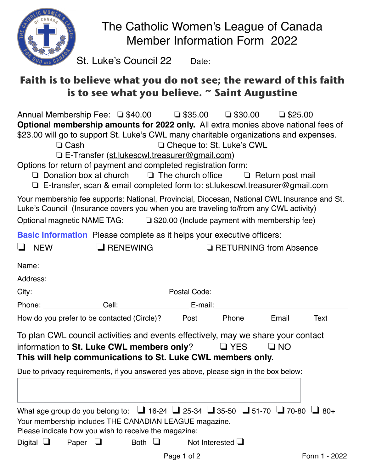

# The Catholic Women's League of Canada Member Information Form 2022

St. Luke's Council 22 Date:

## **Faith is to believe what you do not see; the reward of this faith is to see what you believe. ~ Saint Augustine**

Annual Membership Fee: ❏ \$40.00 ❏ \$35.00 ❏ \$30.00 ❏ \$25.00 **Optional membership amounts for 2022 only.** All extra monies above national fees of \$23.00 will go to support St. Luke's CWL many charitable organizations and expenses.

❏ Cash ❏ Cheque to: St. Luke's CWL

❏ E-Transfer [\(st.lukescwl.treasurer@gmail.com\)](mailto:st.lukescwl.treasurer@gmail.com)

Options for return of payment and completed registration form:

- ❏ Donation box at church ❏ The church office ❏ Return post mail
- ❏ E-transfer, scan & email completed form to: [st.lukescwl.treasurer@gmail.com](mailto:st.lukescwl.treasurer@gmail.com)

Your membership fee supports: National, Provincial, Diocesan, National CWL Insurance and St. Luke's Council (Insurance covers you when you are traveling to/from any CWL activity)

Optional magnetic NAME TAG: ❏ \$20.00 (Include payment with membership fee)

❏ NEW ❏ RENEWING ❏ RETURNING from Absence

**Basic Information** Please complete as it helps your executive officers:

| How do you prefer to be contacted (Circle)? Post Phone Email                                                                                                                                                           |  | Text |
|------------------------------------------------------------------------------------------------------------------------------------------------------------------------------------------------------------------------|--|------|
| information to St. Luke CWL members only? $\Box$ YES $\Box$ NO<br>This will help communications to St. Luke CWL members only.<br>Due to privacy requirements, if you answered yes above, please sign in the box below: |  |      |
|                                                                                                                                                                                                                        |  |      |

Digital ❏ Paper ❏ Both ❏ Not Interested ❏